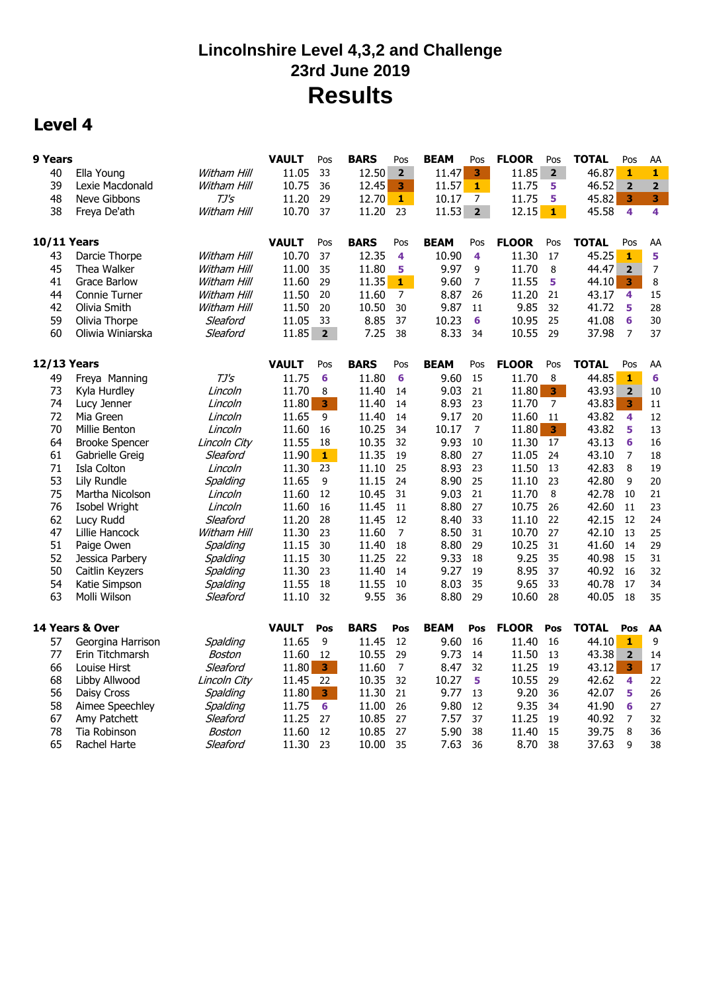## **Lincolnshire Level 4,3,2 and Challenge 23rd June 2019 Results**

### **Level 4**

| 9 Years            |                       |              | <b>VAULT</b> | Pos                     | <b>BARS</b> | Pos            | <b>BEAM</b> | Pos                     | <b>FLOOR</b> | Pos                     | <b>TOTAL</b> | Pos                     | AA                      |
|--------------------|-----------------------|--------------|--------------|-------------------------|-------------|----------------|-------------|-------------------------|--------------|-------------------------|--------------|-------------------------|-------------------------|
| 40                 | Ella Young            | Witham Hill  | 11.05        | 33                      | 12.50       | 2 <sup>1</sup> | 11.47       | 3 <sup>1</sup>          | 11.85        | 2 <sup>1</sup>          | 46.87        | $\mathbf{1}$            | $\mathbf{1}$            |
| 39                 | Lexie Macdonald       | Witham Hill  | 10.75        | 36                      | 12.45       | 3              | 11.57       | $1 -$                   | 11.75        | 5                       | 46.52        | $\overline{2}$          | $\overline{\mathbf{2}}$ |
| 48                 | Neve Gibbons          | TJ's         | 11.20        | 29                      | 12.70       | $\mathbf{1}$   | 10.17       | 7                       | 11.75        | 5                       | 45.82        | 3                       | 3                       |
| 38                 | Freya De'ath          | Witham Hill  | 10.70        | 37                      | 11.20       | 23             | 11.53       | 2 <sub>2</sub>          | 12.15        | $\mathbf{1}$            | 45.58        | $\overline{\mathbf{4}}$ | 4                       |
|                    |                       |              |              |                         |             |                |             |                         |              |                         |              |                         |                         |
| <b>10/11 Years</b> |                       |              | <b>VAULT</b> | Pos                     | <b>BARS</b> | Pos            | <b>BEAM</b> | Pos                     | <b>FLOOR</b> | Pos                     | <b>TOTAL</b> | Pos                     | AA                      |
| 43                 | Darcie Thorpe         | Witham Hill  | 10.70        | 37                      | 12.35       | 4              | 10.90       | $\overline{\mathbf{4}}$ | 11.30        | 17                      | 45.25        | $\mathbf 1$             | 5                       |
| 45                 | Thea Walker           | Witham Hill  | 11.00        | 35                      | 11.80       | 5              | 9.97        | 9                       | 11.70        | 8                       | 44.47        | $\overline{\mathbf{2}}$ | $\boldsymbol{7}$        |
| 41                 | <b>Grace Barlow</b>   | Witham Hill  | 11.60        | 29                      | 11.35       | $1 -$          | 9.60        | $\overline{7}$          | 11.55        | 5                       | 44.10        | $\mathbf{3}$            | $\,8\,$                 |
| 44                 | <b>Connie Turner</b>  | Witham Hill  | 11.50        | 20                      | 11.60       | $\overline{7}$ | 8.87        | 26                      | 11.20        | 21                      | 43.17        | 4                       | 15                      |
| 42                 | Olivia Smith          | Witham Hill  | 11.50        | 20                      | 10.50       | 30             | 9.87        | 11                      | 9.85         | 32                      | 41.72        | 5                       | 28                      |
| 59                 | Olivia Thorpe         | Sleaford     | 11.05        | 33                      | 8.85        | 37             | 10.23       | 6                       | 10.95        | 25                      | 41.08        | 6                       | 30                      |
| 60                 | Oliwia Winiarska      | Sleaford     | 11.85        | $\overline{2}$          | 7.25        | 38             | 8.33        | 34                      | 10.55        | 29                      | 37.98        | $\overline{7}$          | 37                      |
|                    |                       |              |              |                         |             |                |             |                         |              |                         |              |                         |                         |
| <b>12/13 Years</b> |                       |              | <b>VAULT</b> | Pos                     | <b>BARS</b> | Pos            | <b>BEAM</b> | Pos                     | <b>FLOOR</b> | Pos                     | <b>TOTAL</b> | Pos                     | AA                      |
| 49                 | Freya Manning         | TJ's         | 11.75        | 6                       | 11.80       | 6              | 9.60        | 15                      | 11.70        | 8                       | 44.85        | $\mathbf{1}$            | 6                       |
| 73                 | Kyla Hurdley          | Lincoln      | 11.70        | 8                       | 11.40       | 14             | 9.03        | 21                      | 11.80        | 3 <sup>1</sup>          | 43.93        | $\overline{\mathbf{2}}$ | 10                      |
| 74                 | Lucy Jenner           | Lincoln      | 11.80        | $\overline{\mathbf{3}}$ | 11.40       | 14             | 8.93        | 23                      | 11.70        | $\overline{7}$          | 43.83        | $\overline{\mathbf{3}}$ | 11                      |
| 72                 | Mia Green             | Lincoln      | 11.65        | 9                       | 11.40       | 14             | 9.17        | 20                      | 11.60        | 11                      | 43.82        | 4                       | 12                      |
| 70                 | Millie Benton         | Lincoln      | 11.60        | 16                      | 10.25       | 34             | 10.17       | $\overline{7}$          | 11.80        | $\overline{\mathbf{3}}$ | 43.82        | 5                       | 13                      |
| 64                 | <b>Brooke Spencer</b> | Lincoln City | 11.55        | 18                      | 10.35       | 32             | 9.93        | 10                      | 11.30        | 17                      | 43.13        | 6                       | 16                      |
| 61                 | Gabrielle Greig       | Sleaford     | 11.90        | $\mathbf{1}$            | 11.35       | 19             | 8.80        | 27                      | 11.05        | 24                      | 43.10        | $\overline{7}$          | 18                      |
| 71                 | Isla Colton           | Lincoln      | 11.30        | 23                      | 11.10       | 25             | 8.93        | 23                      | 11.50        | 13                      | 42.83        | 8                       | 19                      |
| 53                 | Lily Rundle           | Spalding     | 11.65        | 9                       | 11.15       | 24             | 8.90        | 25                      | 11.10        | 23                      | 42.80        | 9                       | 20                      |
| 75                 | Martha Nicolson       | Lincoln      | 11.60        | 12                      | 10.45       | 31             | 9.03        | 21                      | 11.70        | 8                       | 42.78        | 10                      | 21                      |
| 76                 | Isobel Wright         | Lincoln      | 11.60        | 16                      | 11.45       | 11             | 8.80        | 27                      | 10.75        | 26                      | 42.60        | 11                      | 23                      |
| 62                 | Lucy Rudd             | Sleaford     | 11.20        | 28                      | 11.45       | 12             | 8.40        | 33                      | 11.10        | 22                      | 42.15        | 12                      | 24                      |
| 47                 | Lillie Hancock        | Witham Hill  | 11.30        | 23                      | 11.60       | $\overline{7}$ | 8.50        | 31                      | 10.70        | 27                      | 42.10        | 13                      | 25                      |
| 51                 | Paige Owen            | Spalding     | 11.15        | 30                      | 11.40       | 18             | 8.80        | 29                      | 10.25        | 31                      | 41.60        | 14                      | 29                      |
| 52                 | Jessica Parbery       | Spalding     | 11.15        | 30                      | 11.25       | 22             | 9.33        | 18                      | 9.25         | 35                      | 40.98        | 15                      | 31                      |
| 50                 | Caitlin Keyzers       | Spalding     | 11.30        | 23                      | 11.40       | 14             | 9.27        | 19                      | 8.95         | 37                      | 40.92        | 16                      | 32                      |
| 54                 | Katie Simpson         | Spalding     | 11.55        | 18                      | 11.55       | 10             | 8.03        | 35                      | 9.65         | 33                      | 40.78        | 17                      | 34                      |
| 63                 | Molli Wilson          | Sleaford     | 11.10        | 32                      | 9.55        | 36             | 8.80        | 29                      | 10.60        | 28                      | 40.05        | 18                      | 35                      |
|                    |                       |              |              |                         |             |                |             |                         |              |                         |              |                         |                         |
|                    | 14 Years & Over       |              | <b>VAULT</b> | Pos                     | <b>BARS</b> | Pos            | <b>BEAM</b> | Pos                     | <b>FLOOR</b> | Pos                     | <b>TOTAL</b> | Pos                     | AA                      |
| 57                 | Georgina Harrison     | Spalding     | 11.65        | 9                       | 11.45       | 12             | 9.60        | 16                      | 11.40        | 16                      | 44.10        | $\mathbf{1}$            | 9                       |
| 77                 | Erin Titchmarsh       | Boston       | 11.60        | 12                      | 10.55       | 29             | 9.73        | 14                      | 11.50        | 13                      | 43.38        | $\overline{\mathbf{2}}$ | 14                      |
| 66                 | Louise Hirst          | Sleaford     | 11.80        | 3 <sup>1</sup>          | 11.60       | $\overline{7}$ | 8.47        | 32                      | 11.25        | 19                      | 43.12        | $\overline{\mathbf{3}}$ | 17                      |
| 68                 | Libby Allwood         | Lincoln City | 11.45        | 22                      | 10.35       | 32             | 10.27       | 5                       | 10.55        | 29                      | 42.62        | $\overline{\mathbf{4}}$ | 22                      |
| 56                 | Daisy Cross           | Spalding     | 11.80        | $\overline{\mathbf{3}}$ | 11.30       | 21             | 9.77        | 13                      | 9.20         | 36                      | 42.07        | 5                       | 26                      |
| 58                 | Aimee Speechley       | Spalding     | 11.75        | 6                       | 11.00       | 26             | 9.80        | 12                      | 9.35         | 34                      | 41.90        | 6                       | 27                      |
| 67                 | Amy Patchett          | Sleaford     | 11.25        | 27                      | 10.85       | 27             | 7.57        | 37                      | 11.25        | 19                      | 40.92        | 7                       | 32                      |
| 78                 | Tia Robinson          | Boston       | 11.60        | 12                      | 10.85       | 27             | 5.90        | 38                      | 11.40        | 15                      | 39.75        | 8                       | 36                      |
| 65                 | Rachel Harte          | Sleaford     | 11.30        | 23                      | 10.00       | 35             | 7.63        | 36                      | 8.70         | 38                      | 37.63        | 9                       | 38                      |